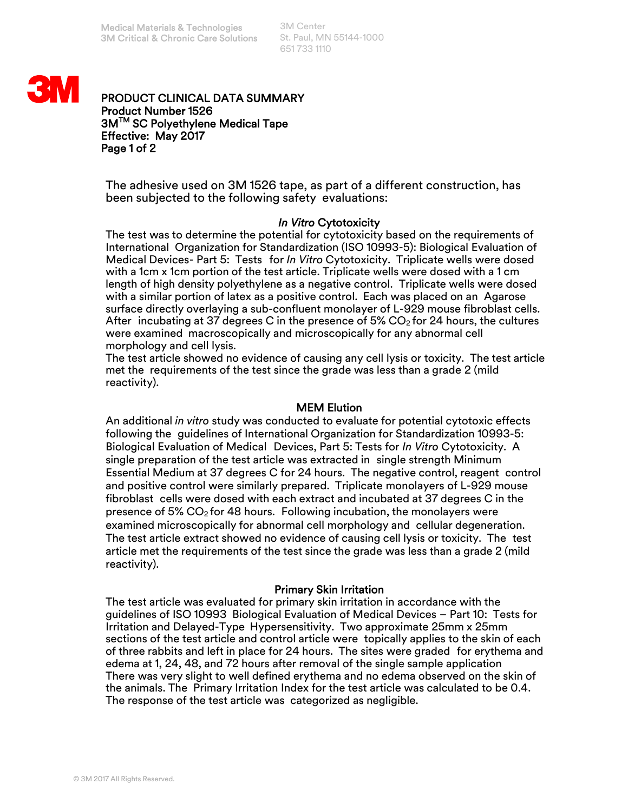3M Center St. Paul, MN 55144-1000 651 733 1110



PRODUCT CLINICAL DATA SUMMARY Product Number 1526 3MTM SC Polyethylene Medical Tape Effective: May 2017 Page 1 of 2

The adhesive used on 3M 1526 tape, as part of a different construction, has been subjected to the following safety evaluations:

## *In Vitro* Cytotoxicity

The test was to determine the potential for cytotoxicity based on the requirements of International Organization for Standardization (ISO 10993-5): Biological Evaluation of Medical Devices- Part 5: Tests for *In Vitro* Cytotoxicity. Triplicate wells were dosed with a 1cm x 1cm portion of the test article. Triplicate wells were dosed with a 1 cm length of high density polyethylene as a negative control. Triplicate wells were dosed with a similar portion of latex as a positive control. Each was placed on an Agarose surface directly overlaying a sub-confluent monolayer of L-929 mouse fibroblast cells. After incubating at 37 degrees C in the presence of 5%  $CO<sub>2</sub>$  for 24 hours, the cultures were examined macroscopically and microscopically for any abnormal cell morphology and cell lysis.

The test article showed no evidence of causing any cell lysis or toxicity. The test article met the requirements of the test since the grade was less than a grade 2 (mild reactivity).

## MEM Elution

An additional *in vitro* study was conducted to evaluate for potential cytotoxic effects following the guidelines of International Organization for Standardization 10993-5: Biological Evaluation of Medical Devices, Part 5: Tests for *In Vitro* Cytotoxicity. A single preparation of the test article was extracted in single strength Minimum Essential Medium at 37 degrees C for 24 hours. The negative control, reagent control and positive control were similarly prepared. Triplicate monolayers of L-929 mouse fibroblast cells were dosed with each extract and incubated at 37 degrees C in the presence of  $5\%$  CO<sub>2</sub> for 48 hours. Following incubation, the monolayers were examined microscopically for abnormal cell morphology and cellular degeneration. The test article extract showed no evidence of causing cell lysis or toxicity. The test article met the requirements of the test since the grade was less than a grade 2 (mild reactivity).

## Primary Skin Irritation

The test article was evaluated for primary skin irritation in accordance with the guidelines of ISO 10993 Biological Evaluation of Medical Devices – Part 10: Tests for Irritation and Delayed-Type Hypersensitivity. Two approximate 25mm x 25mm sections of the test article and control article were topically applies to the skin of each of three rabbits and left in place for 24 hours. The sites were graded for erythema and edema at 1, 24, 48, and 72 hours after removal of the single sample application There was very slight to well defined erythema and no edema observed on the skin of the animals. The Primary Irritation Index for the test article was calculated to be 0.4. The response of the test article was categorized as negligible.